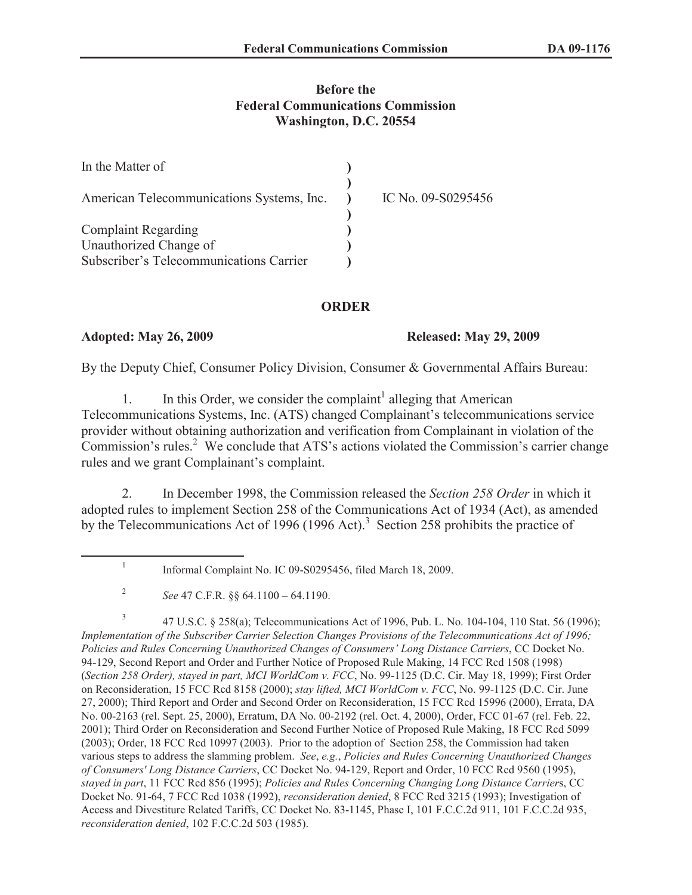## **Before the Federal Communications Commission Washington, D.C. 20554**

| In the Matter of                          |                    |
|-------------------------------------------|--------------------|
| American Telecommunications Systems, Inc. | IC No. 09-S0295456 |
| <b>Complaint Regarding</b>                |                    |
| Unauthorized Change of                    |                    |
| Subscriber's Telecommunications Carrier   |                    |

### **ORDER**

### **Adopted: May 26, 2009 Released: May 29, 2009**

By the Deputy Chief, Consumer Policy Division, Consumer & Governmental Affairs Bureau:

1. In this Order, we consider the complaint<sup>1</sup> alleging that American Telecommunications Systems, Inc. (ATS) changed Complainant's telecommunications service provider without obtaining authorization and verification from Complainant in violation of the Commission's rules.<sup>2</sup> We conclude that ATS's actions violated the Commission's carrier change rules and we grant Complainant's complaint.

2. In December 1998, the Commission released the *Section 258 Order* in which it adopted rules to implement Section 258 of the Communications Act of 1934 (Act), as amended by the Telecommunications Act of 1996 (1996 Act).<sup>3</sup> Section 258 prohibits the practice of

3 47 U.S.C. § 258(a); Telecommunications Act of 1996, Pub. L. No. 104-104, 110 Stat. 56 (1996); *Implementation of the Subscriber Carrier Selection Changes Provisions of the Telecommunications Act of 1996; Policies and Rules Concerning Unauthorized Changes of Consumers' Long Distance Carriers*, CC Docket No. 94-129, Second Report and Order and Further Notice of Proposed Rule Making, 14 FCC Rcd 1508 (1998) (*Section 258 Order), stayed in part, MCI WorldCom v. FCC*, No. 99-1125 (D.C. Cir. May 18, 1999); First Order on Reconsideration, 15 FCC Rcd 8158 (2000); *stay lifted, MCI WorldCom v. FCC*, No. 99-1125 (D.C. Cir. June 27, 2000); Third Report and Order and Second Order on Reconsideration, 15 FCC Rcd 15996 (2000), Errata, DA No. 00-2163 (rel. Sept. 25, 2000), Erratum, DA No. 00-2192 (rel. Oct. 4, 2000), Order, FCC 01-67 (rel. Feb. 22, 2001); Third Order on Reconsideration and Second Further Notice of Proposed Rule Making, 18 FCC Rcd 5099 (2003); Order, 18 FCC Rcd 10997 (2003). Prior to the adoption of Section 258, the Commission had taken various steps to address the slamming problem. *See*, *e.g.*, *Policies and Rules Concerning Unauthorized Changes of Consumers' Long Distance Carriers*, CC Docket No. 94-129, Report and Order, 10 FCC Rcd 9560 (1995), *stayed in part*, 11 FCC Rcd 856 (1995); *Policies and Rules Concerning Changing Long Distance Carrier*s, CC Docket No. 91-64, 7 FCC Rcd 1038 (1992), *reconsideration denied*, 8 FCC Rcd 3215 (1993); Investigation of Access and Divestiture Related Tariffs, CC Docket No. 83-1145, Phase I, 101 F.C.C.2d 911, 101 F.C.C.2d 935, *reconsideration denied*, 102 F.C.C.2d 503 (1985).

<sup>1</sup> Informal Complaint No. IC 09-S0295456, filed March 18, 2009.

<sup>2</sup> *See* 47 C.F.R. §§ 64.1100 – 64.1190.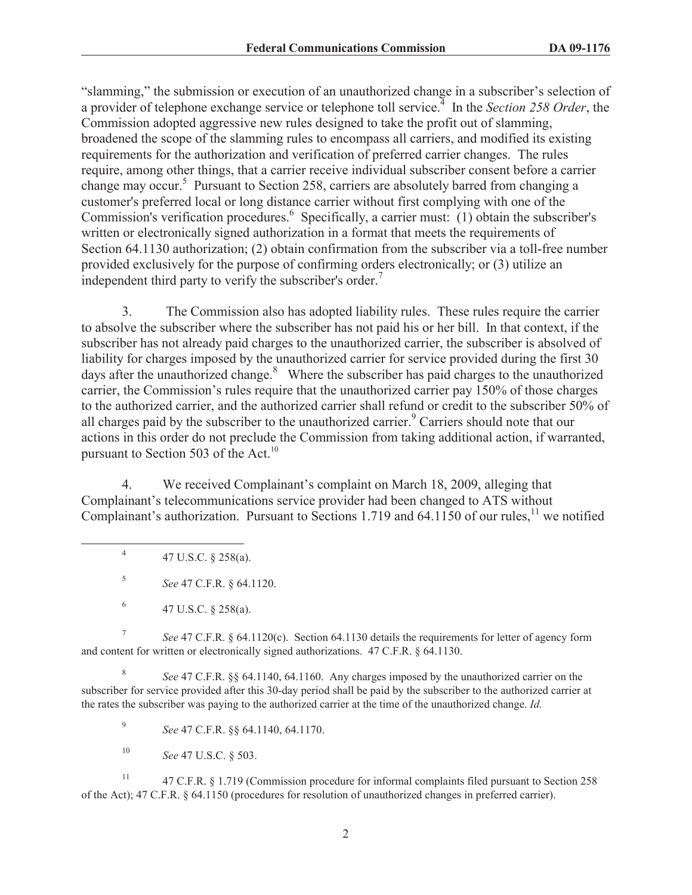"slamming," the submission or execution of an unauthorized change in a subscriber's selection of a provider of telephone exchange service or telephone toll service.<sup>4</sup> In the *Section 258 Order*, the Commission adopted aggressive new rules designed to take the profit out of slamming, broadened the scope of the slamming rules to encompass all carriers, and modified its existing requirements for the authorization and verification of preferred carrier changes. The rules require, among other things, that a carrier receive individual subscriber consent before a carrier change may occur.<sup>5</sup> Pursuant to Section 258, carriers are absolutely barred from changing a customer's preferred local or long distance carrier without first complying with one of the Commission's verification procedures.<sup>6</sup> Specifically, a carrier must: (1) obtain the subscriber's written or electronically signed authorization in a format that meets the requirements of Section 64.1130 authorization; (2) obtain confirmation from the subscriber via a toll-free number provided exclusively for the purpose of confirming orders electronically; or (3) utilize an independent third party to verify the subscriber's order.<sup>7</sup>

3. The Commission also has adopted liability rules. These rules require the carrier to absolve the subscriber where the subscriber has not paid his or her bill. In that context, if the subscriber has not already paid charges to the unauthorized carrier, the subscriber is absolved of liability for charges imposed by the unauthorized carrier for service provided during the first 30 days after the unauthorized change. $8$  Where the subscriber has paid charges to the unauthorized carrier, the Commission's rules require that the unauthorized carrier pay 150% of those charges to the authorized carrier, and the authorized carrier shall refund or credit to the subscriber 50% of all charges paid by the subscriber to the unauthorized carrier.<sup>9</sup> Carriers should note that our actions in this order do not preclude the Commission from taking additional action, if warranted, pursuant to Section 503 of the Act.<sup>10</sup>

4. We received Complainant's complaint on March 18, 2009, alleging that Complainant's telecommunications service provider had been changed to ATS without Complainant's authorization. Pursuant to Sections 1.719 and 64.1150 of our rules,<sup>11</sup> we notified

4 47 U.S.C. § 258(a).

5 *See* 47 C.F.R. § 64.1120.

7 *See* 47 C.F.R. § 64.1120(c). Section 64.1130 details the requirements for letter of agency form and content for written or electronically signed authorizations. 47 C.F.R. § 64.1130.

8 *See* 47 C.F.R. §§ 64.1140, 64.1160. Any charges imposed by the unauthorized carrier on the subscriber for service provided after this 30-day period shall be paid by the subscriber to the authorized carrier at the rates the subscriber was paying to the authorized carrier at the time of the unauthorized change. *Id.*

9 *See* 47 C.F.R. §§ 64.1140, 64.1170.

<sup>10</sup> *See* 47 U.S.C. § 503.

<sup>11</sup> 47 C.F.R. § 1.719 (Commission procedure for informal complaints filed pursuant to Section 258 of the Act); 47 C.F.R. § 64.1150 (procedures for resolution of unauthorized changes in preferred carrier).

<sup>6</sup> 47 U.S.C. § 258(a).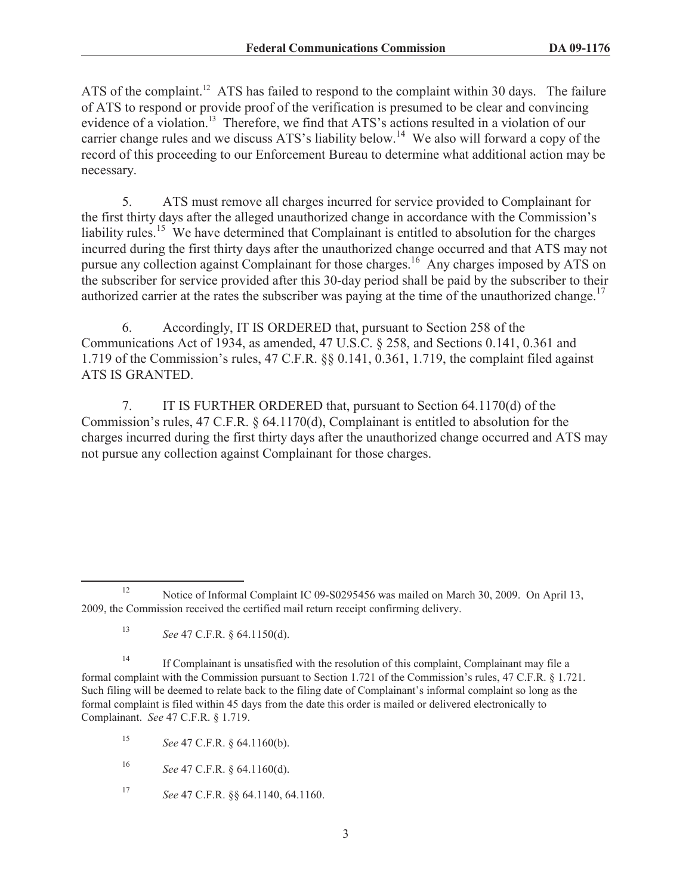ATS of the complaint.<sup>12</sup> ATS has failed to respond to the complaint within 30 days. The failure of ATS to respond or provide proof of the verification is presumed to be clear and convincing evidence of a violation.<sup>13</sup> Therefore, we find that ATS's actions resulted in a violation of our carrier change rules and we discuss ATS's liability below.<sup>14</sup> We also will forward a copy of the record of this proceeding to our Enforcement Bureau to determine what additional action may be necessary.

5. ATS must remove all charges incurred for service provided to Complainant for the first thirty days after the alleged unauthorized change in accordance with the Commission's liability rules.<sup>15</sup> We have determined that Complainant is entitled to absolution for the charges incurred during the first thirty days after the unauthorized change occurred and that ATS may not pursue any collection against Complainant for those charges.<sup>16</sup> Any charges imposed by ATS on the subscriber for service provided after this 30-day period shall be paid by the subscriber to their authorized carrier at the rates the subscriber was paying at the time of the unauthorized change.<sup>17</sup>

6. Accordingly, IT IS ORDERED that, pursuant to Section 258 of the Communications Act of 1934, as amended, 47 U.S.C. § 258, and Sections 0.141, 0.361 and 1.719 of the Commission's rules, 47 C.F.R. §§ 0.141, 0.361, 1.719, the complaint filed against ATS IS GRANTED.

7. IT IS FURTHER ORDERED that, pursuant to Section 64.1170(d) of the Commission's rules, 47 C.F.R. § 64.1170(d), Complainant is entitled to absolution for the charges incurred during the first thirty days after the unauthorized change occurred and ATS may not pursue any collection against Complainant for those charges.

<sup>17</sup> *See* 47 C.F.R. §§ 64.1140, 64.1160.

<sup>&</sup>lt;sup>12</sup> Notice of Informal Complaint IC 09-S0295456 was mailed on March 30, 2009. On April 13, 2009, the Commission received the certified mail return receipt confirming delivery.

<sup>13</sup> *See* 47 C.F.R. § 64.1150(d).

<sup>&</sup>lt;sup>14</sup> If Complainant is unsatisfied with the resolution of this complaint, Complainant may file a formal complaint with the Commission pursuant to Section 1.721 of the Commission's rules, 47 C.F.R. § 1.721. Such filing will be deemed to relate back to the filing date of Complainant's informal complaint so long as the formal complaint is filed within 45 days from the date this order is mailed or delivered electronically to Complainant. *See* 47 C.F.R. § 1.719.

<sup>15</sup> *See* 47 C.F.R. § 64.1160(b).

<sup>16</sup> *See* 47 C.F.R. § 64.1160(d).